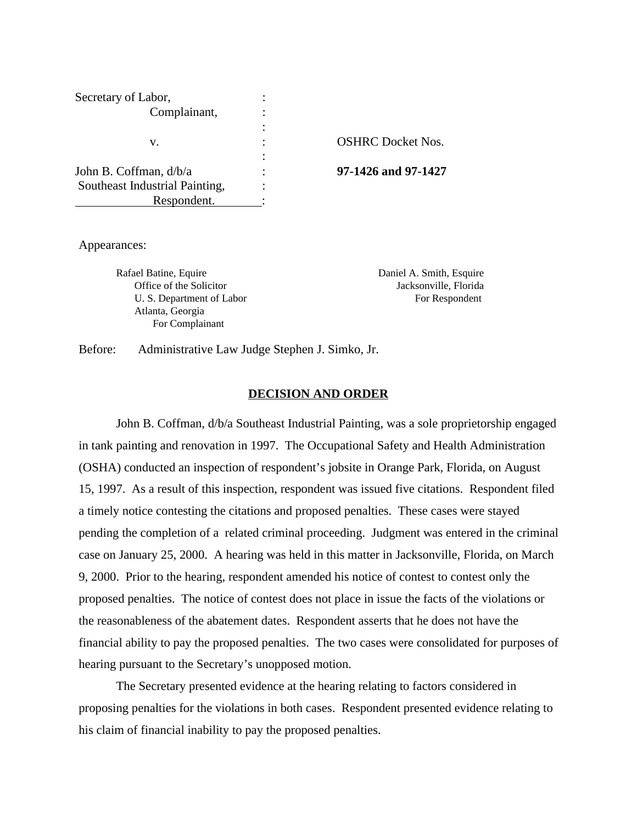| Secretary of Labor,            |                          |
|--------------------------------|--------------------------|
| Complainant,                   |                          |
|                                |                          |
| v.                             | <b>OSHRC</b> Docket Nos. |
|                                |                          |
| John B. Coffman, d/b/a         | 97-1426 and 97-1427      |
| Southeast Industrial Painting, |                          |
| Respondent.                    |                          |

Appearances:

Rafael Batine, Equire **Daniel A. Smith, Esquire** Daniel A. Smith, Esquire Office of the Solicitor Jacksonville, Florida U. S. Department of Labor For Respondent Atlanta, Georgia For Complainant

Before: Administrative Law Judge Stephen J. Simko, Jr.

### **DECISION AND ORDER**

 John B. Coffman, d/b/a Southeast Industrial Painting, was a sole proprietorship engaged in tank painting and renovation in 1997. The Occupational Safety and Health Administration (OSHA) conducted an inspection of respondent's jobsite in Orange Park, Florida, on August 15, 1997. As a result of this inspection, respondent was issued five citations. Respondent filed a timely notice contesting the citations and proposed penalties. These cases were stayed pending the completion of a related criminal proceeding. Judgment was entered in the criminal case on January 25, 2000. A hearing was held in this matter in Jacksonville, Florida, on March 9, 2000. Prior to the hearing, respondent amended his notice of contest to contest only the proposed penalties. The notice of contest does not place in issue the facts of the violations or the reasonableness of the abatement dates. Respondent asserts that he does not have the financial ability to pay the proposed penalties. The two cases were consolidated for purposes of hearing pursuant to the Secretary's unopposed motion.

The Secretary presented evidence at the hearing relating to factors considered in proposing penalties for the violations in both cases. Respondent presented evidence relating to his claim of financial inability to pay the proposed penalties.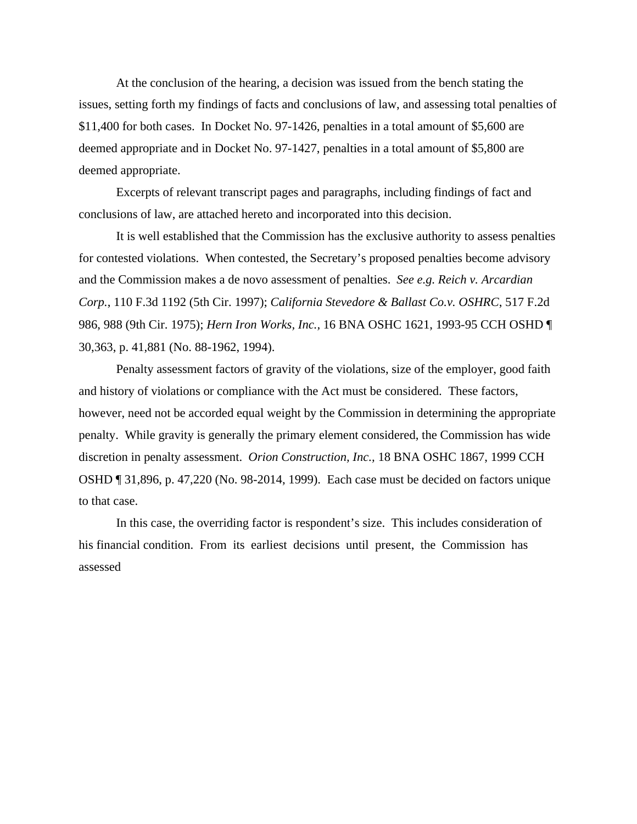At the conclusion of the hearing, a decision was issued from the bench stating the issues, setting forth my findings of facts and conclusions of law, and assessing total penalties of \$11,400 for both cases. In Docket No. 97-1426, penalties in a total amount of \$5,600 are deemed appropriate and in Docket No. 97-1427, penalties in a total amount of \$5,800 are deemed appropriate.

Excerpts of relevant transcript pages and paragraphs, including findings of fact and conclusions of law, are attached hereto and incorporated into this decision.

It is well established that the Commission has the exclusive authority to assess penalties for contested violations. When contested, the Secretary's proposed penalties become advisory and the Commission makes a de novo assessment of penalties. *See e.g. Reich v. Arcardian Corp.*, 110 F.3d 1192 (5th Cir. 1997); *California Stevedore & Ballast Co.v. OSHRC*, 517 F.2d 986, 988 (9th Cir. 1975); *Hern Iron Works, Inc.,* 16 BNA OSHC 1621, 1993-95 CCH OSHD ¶ 30,363, p. 41,881 (No. 88-1962, 1994).

Penalty assessment factors of gravity of the violations, size of the employer, good faith and history of violations or compliance with the Act must be considered. These factors, however, need not be accorded equal weight by the Commission in determining the appropriate penalty. While gravity is generally the primary element considered, the Commission has wide discretion in penalty assessment. *Orion Construction, Inc.,* 18 BNA OSHC 1867, 1999 CCH OSHD ¶ 31,896, p. 47,220 (No. 98-2014, 1999). Each case must be decided on factors unique to that case.

In this case, the overriding factor is respondent's size. This includes consideration of his financial condition. From its earliest decisions until present, the Commission has assessed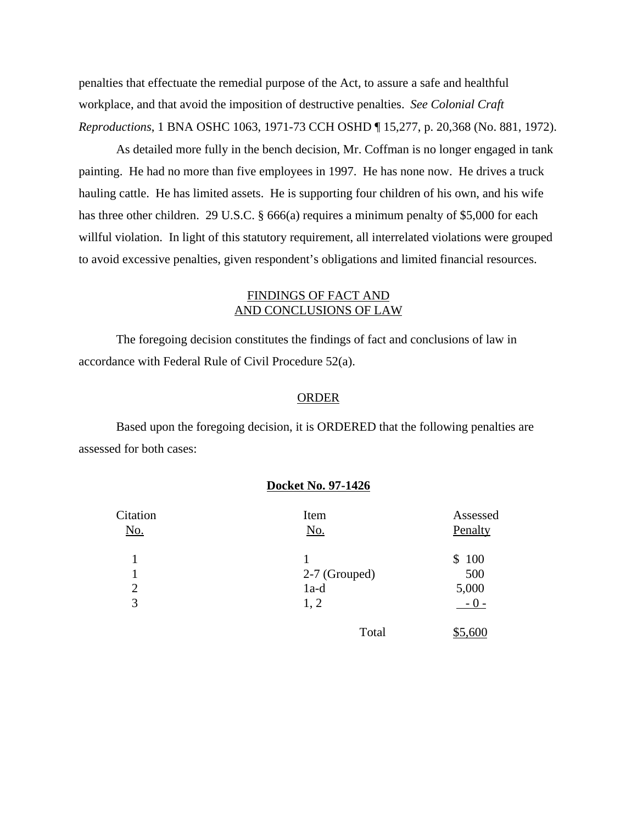penalties that effectuate the remedial purpose of the Act, to assure a safe and healthful workplace, and that avoid the imposition of destructive penalties. *See Colonial Craft Reproductions*, 1 BNA OSHC 1063, 1971-73 CCH OSHD ¶ 15,277, p. 20,368 (No. 881, 1972).

As detailed more fully in the bench decision, Mr. Coffman is no longer engaged in tank painting. He had no more than five employees in 1997. He has none now. He drives a truck hauling cattle. He has limited assets. He is supporting four children of his own, and his wife has three other children. 29 U.S.C. § 666(a) requires a minimum penalty of \$5,000 for each willful violation. In light of this statutory requirement, all interrelated violations were grouped to avoid excessive penalties, given respondent's obligations and limited financial resources.

# FINDINGS OF FACT AND AND CONCLUSIONS OF LAW

The foregoing decision constitutes the findings of fact and conclusions of law in accordance with Federal Rule of Civil Procedure 52(a).

#### ORDER

Based upon the foregoing decision, it is ORDERED that the following penalties are assessed for both cases:

## **Docket No. 97-1426**

| Citation<br><u>No.</u> | Item<br><u>No.</u> | Assessed<br>Penalty |
|------------------------|--------------------|---------------------|
|                        |                    | 100<br>\$           |
|                        | 2-7 (Grouped)      | 500                 |
| $\overline{2}$         | $1a-d$             | 5,000               |
| 3                      | 1, 2               | $-0-$               |
|                        | Total              | \$5,600             |